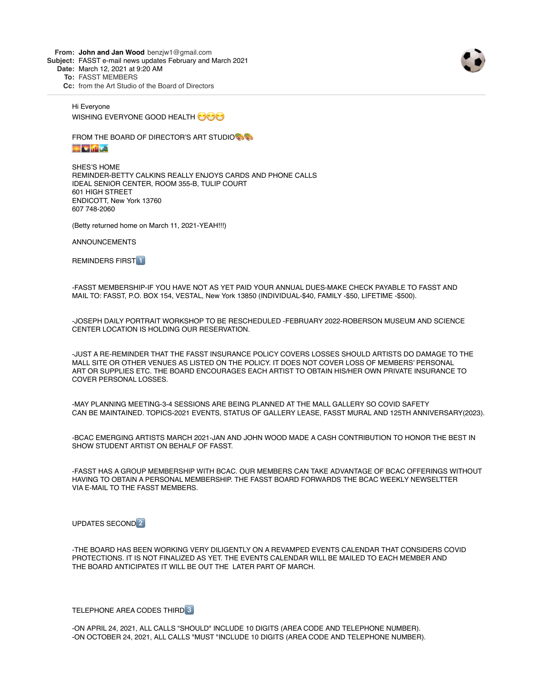**From: John and Jan Wood** benzjw1@gmail.com

**Subject:** FASST e-mail news updates February and March 2021

**Date:** March 12, 2021 at 9:20 AM

**To:** FASST MEMBERS

**Cc:** from the Art Studio of the Board of Directors



Hi Everyone WISHING EVERYONE GOOD HEALTH

FROM THE BOARD OF DIRECTOR'S ART STUDIO

**MARK AND SOME** 

SHES'S HOME REMINDER-BETTY CALKINS REALLY ENJOYS CARDS AND PHONE CALLS IDEAL SENIOR CENTER, ROOM 355-B, TULIP COURT 601 HIGH STREET ENDICOTT, New York 13760 607 748-2060

(Betty returned home on March 11, 2021-YEAH!!!)

ANNOUNCEMENTS

REMINDERS FIRST<sup>1</sup>

-FASST MEMBERSHIP-IF YOU HAVE NOT AS YET PAID YOUR ANNUAL DUES-MAKE CHECK PAYABLE TO FASST AND MAIL TO: FASST, P.O. BOX 154, VESTAL, New York 13850 (INDIVIDUAL-\$40, FAMILY -\$50, LIFETIME -\$500).

-JOSEPH DAILY PORTRAIT WORKSHOP TO BE RESCHEDULED -FEBRUARY 2022-ROBERSON MUSEUM AND SCIENCE CENTER LOCATION IS HOLDING OUR RESERVATION.

-JUST A RE-REMINDER THAT THE FASST INSURANCE POLICY COVERS LOSSES SHOULD ARTISTS DO DAMAGE TO THE MALL SITE OR OTHER VENUES AS LISTED ON THE POLICY. IT DOES NOT COVER LOSS OF MEMBERS' PERSONAL ART OR SUPPLIES ETC. THE BOARD ENCOURAGES EACH ARTIST TO OBTAIN HIS/HER OWN PRIVATE INSURANCE TO COVER PERSONAL LOSSES.

-MAY PLANNING MEETING-3-4 SESSIONS ARE BEING PLANNED AT THE MALL GALLERY SO COVID SAFETY CAN BE MAINTAINED. TOPICS-2021 EVENTS, STATUS OF GALLERY LEASE, FASST MURAL AND 125TH ANNIVERSARY(2023).

-BCAC EMERGING ARTISTS MARCH 2021-JAN AND JOHN WOOD MADE A CASH CONTRIBUTION TO HONOR THE BEST IN SHOW STUDENT ARTIST ON BEHALF OF FASST.

-FASST HAS A GROUP MEMBERSHIP WITH BCAC. OUR MEMBERS CAN TAKE ADVANTAGE OF BCAC OFFERINGS WITHOUT HAVING TO OBTAIN A PERSONAL MEMBERSHIP. THE FASST BOARD FORWARDS THE BCAC WEEKLY NEWSELTTER VIA E-MAIL TO THE FASST MEMBERS.

UPDATES SECOND<sup>2</sup>

-THE BOARD HAS BEEN WORKING VERY DILIGENTLY ON A REVAMPED EVENTS CALENDAR THAT CONSIDERS COVID PROTECTIONS. IT IS NOT FINALIZED AS YET. THE EVENTS CALENDAR WILL BE MAILED TO EACH MEMBER AND THE BOARD ANTICIPATES IT WILL BE OUT THE LATER PART OF MARCH.

TELEPHONE AREA CODES THIRD

-ON APRIL 24, 2021, ALL CALLS "SHOULD" INCLUDE 10 DIGITS (AREA CODE AND TELEPHONE NUMBER). -ON OCTOBER 24, 2021, ALL CALLS "MUST "INCLUDE 10 DIGITS (AREA CODE AND TELEPHONE NUMBER).